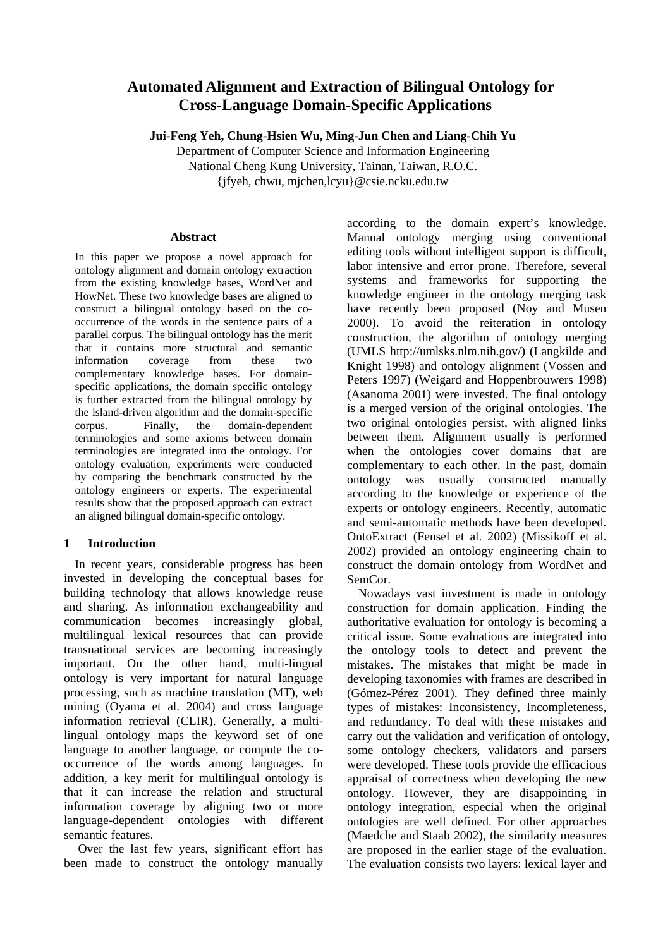# **Automated Alignment and Extraction of Bilingual Ontology for Cross-Language Domain-Specific Applications**

**Jui-Feng Yeh, Chung-Hsien Wu, Ming-Jun Chen and Liang-Chih Yu** 

Department of Computer Science and Information Engineering

National Cheng Kung University, Tainan, Taiwan, R.O.C.

{jfyeh, chwu, mjchen,lcyu}@csie.ncku.edu.tw

# **Abstract**

In this paper we propose a novel approach for ontology alignment and domain ontology extraction from the existing knowledge bases, WordNet and HowNet. These two knowledge bases are aligned to construct a bilingual ontology based on the cooccurrence of the words in the sentence pairs of a parallel corpus. The bilingual ontology has the merit that it contains more structural and semantic information coverage from these two complementary knowledge bases. For domainspecific applications, the domain specific ontology is further extracted from the bilingual ontology by the island-driven algorithm and the domain-specific corpus. Finally, the domain-dependent terminologies and some axioms between domain terminologies are integrated into the ontology. For ontology evaluation, experiments were conducted by comparing the benchmark constructed by the ontology engineers or experts. The experimental results show that the proposed approach can extract an aligned bilingual domain-specific ontology.

# **1 Introduction**

In recent years, considerable progress has been invested in developing the conceptual bases for building technology that allows knowledge reuse and sharing. As information exchangeability and communication becomes increasingly global, multilingual lexical resources that can provide transnational services are becoming increasingly important. On the other hand, multi-lingual ontology is very important for natural language processing, such as machine translation (MT), web mining (Oyama et al. 2004) and cross language information retrieval (CLIR). Generally, a multilingual ontology maps the keyword set of one language to another language, or compute the cooccurrence of the words among languages. In addition, a key merit for multilingual ontology is that it can increase the relation and structural information coverage by aligning two or more language-dependent ontologies with different semantic features.

 Over the last few years, significant effort has been made to construct the ontology manually

according to the domain expert's knowledge. Manual ontology merging using conventional editing tools without intelligent support is difficult, labor intensive and error prone. Therefore, several systems and frameworks for supporting the knowledge engineer in the ontology merging task have recently been proposed (Noy and Musen 2000). To avoid the reiteration in ontology construction, the algorithm of ontology merging (UMLS http://umlsks.nlm.nih.gov/) (Langkilde and Knight 1998) and ontology alignment (Vossen and Peters 1997) (Weigard and Hoppenbrouwers 1998) (Asanoma 2001) were invested. The final ontology is a merged version of the original ontologies. The two original ontologies persist, with aligned links between them. Alignment usually is performed when the ontologies cover domains that are complementary to each other. In the past, domain ontology was usually constructed manually according to the knowledge or experience of the experts or ontology engineers. Recently, automatic and semi-automatic methods have been developed. OntoExtract (Fensel et al. 2002) (Missikoff et al. 2002) provided an ontology engineering chain to construct the domain ontology from WordNet and SemCor.

Nowadays vast investment is made in ontology construction for domain application. Finding the authoritative evaluation for ontology is becoming a critical issue. Some evaluations are integrated into the ontology tools to detect and prevent the mistakes. The mistakes that might be made in developing taxonomies with frames are described in (Gómez-Pérez 2001). They defined three mainly types of mistakes: Inconsistency, Incompleteness, and redundancy. To deal with these mistakes and carry out the validation and verification of ontology, some ontology checkers, validators and parsers were developed. These tools provide the efficacious appraisal of correctness when developing the new ontology. However, they are disappointing in ontology integration, especial when the original ontologies are well defined. For other approaches (Maedche and Staab 2002), the similarity measures are proposed in the earlier stage of the evaluation. The evaluation consists two layers: lexical layer and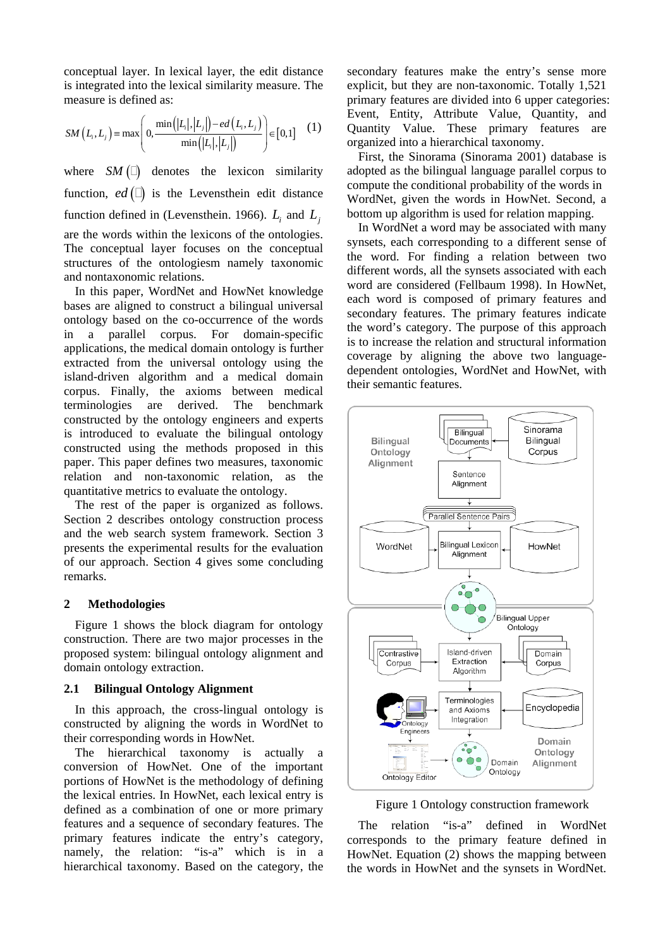conceptual layer. In lexical layer, the edit distance is integrated into the lexical similarity measure. The measure is defined as:

$$
SM(L_i, L_j) = \max\left(0, \frac{\min(|L_i|, |L_j|) - ed(L_i, L_j)}{\min(|L_i|, |L_j|)}\right) \in [0, 1]
$$
 (1)

where  $SM(\square)$  denotes the lexicon similarity function,  $ed \quad (\Box)$  is the Levensthein edit distance function defined in (Levensthein. 1966).  $L_i$  and  $L_i$ are the words within the lexicons of the ontologies. The conceptual layer focuses on the conceptual structures of the ontologiesm namely taxonomic and nontaxonomic relations.

In this paper, WordNet and HowNet knowledge bases are aligned to construct a bilingual universal ontology based on the co-occurrence of the words in a parallel corpus. For domain-specific applications, the medical domain ontology is further extracted from the universal ontology using the island-driven algorithm and a medical domain corpus. Finally, the axioms between medical terminologies are derived. The benchmark constructed by the ontology engineers and experts is introduced to evaluate the bilingual ontology constructed using the methods proposed in this paper. This paper defines two measures, taxonomic relation and non-taxonomic relation, as the quantitative metrics to evaluate the ontology.

The rest of the paper is organized as follows. Section 2 describes ontology construction process and the web search system framework. Section 3 presents the experimental results for the evaluation of our approach. Section 4 gives some concluding remarks.

## **2 Methodologies**

Figure 1 shows the block diagram for ontology construction. There are two major processes in the proposed system: bilingual ontology alignment and domain ontology extraction.

#### **2.1 Bilingual Ontology Alignment**

In this approach, the cross-lingual ontology is constructed by aligning the words in WordNet to their corresponding words in HowNet.

The hierarchical taxonomy is actually a conversion of HowNet. One of the important portions of HowNet is the methodology of defining the lexical entries. In HowNet, each lexical entry is defined as a combination of one or more primary features and a sequence of secondary features. The primary features indicate the entry's category, namely, the relation: "is-a" which is in a hierarchical taxonomy. Based on the category, the

secondary features make the entry's sense more explicit, but they are non-taxonomic. Totally 1,521 primary features are divided into 6 upper categories: Event, Entity, Attribute Value, Quantity, and Quantity Value. These primary features are organized into a hierarchical taxonomy.

First, the Sinorama (Sinorama 2001) database is adopted as the bilingual language parallel corpus to compute the conditional probability of the words in WordNet, given the words in HowNet. Second, a bottom up algorithm is used for relation mapping.

In WordNet a word may be associated with many synsets, each corresponding to a different sense of the word. For finding a relation between two different words, all the synsets associated with each word are considered (Fellbaum 1998). In HowNet, each word is composed of primary features and secondary features. The primary features indicate the word's category. The purpose of this approach is to increase the relation and structural information coverage by aligning the above two languagedependent ontologies, WordNet and HowNet, with their semantic features.



Figure 1 Ontology construction framework

The relation "is-a" defined in WordNet corresponds to the primary feature defined in HowNet. Equation (2) shows the mapping between the words in HowNet and the synsets in WordNet.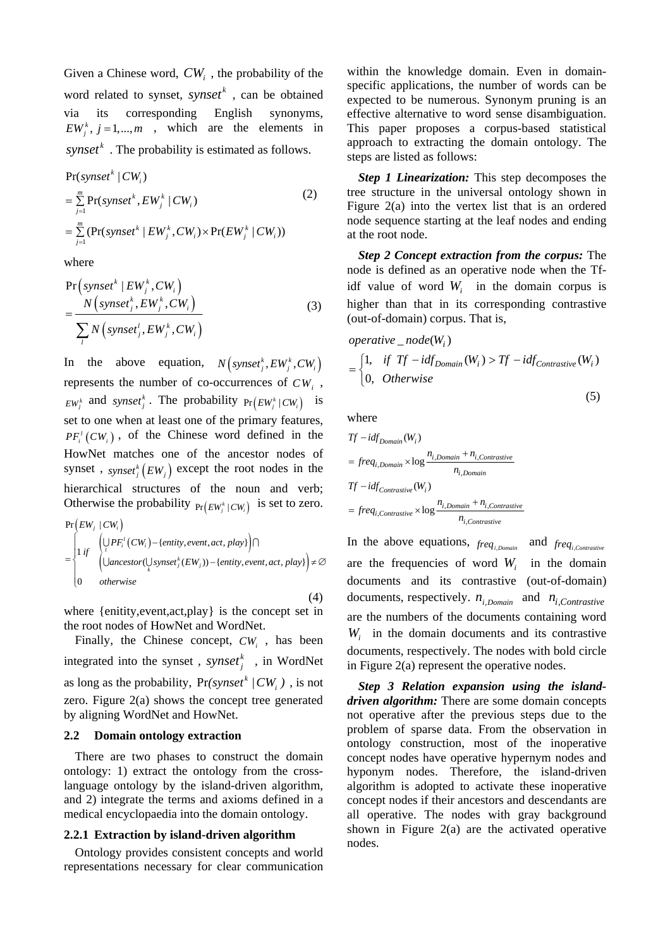Given a Chinese word,  $CW_i$ , the probability of the word related to synset,  $synset^k$ , can be obtained via its corresponding English synonyms,  $EW_i^k$ ,  $j = 1,..., m$  , which are the elements in  $synset^k$ . The probability is estimated as follows.

$$
Pr(synset^{k} | CW_{i})
$$
\n
$$
= \sum_{j=1}^{m} Pr(synset^{k}, EW_{j}^{k} | CW_{i})
$$
\n
$$
= \sum_{j=1}^{m} (Pr(synset^{k} | EW_{j}^{k}, CW_{i}) \times Pr(EW_{j}^{k} | CW_{i}))
$$
\n(2)

where

$$
\Pr\left(synset^{k} | EW_{j}^{k}, CW_{i}\right)
$$
\n
$$
= \frac{N\left(synset_{j}^{k}, EW_{j}^{k}, CW_{i}\right)}{\sum_{i} N\left(synset_{j}^{l}, EW_{j}^{k}, CW_{i}\right)}
$$
\n(3)

In the above equation,  $N \left( \text{synset}^k_i, EW_i^k, CW_i \right)$ represents the number of co-occurrences of  $CW_i$ ,  $EW_j^k$  and *synset*<sup>*k*</sup></sup>. The probability  $Pr(EW_j^k | CW_i)$  is set to one when at least one of the primary features,  $PF_i^l(CW_i)$ , of the Chinese word defined in the HowNet matches one of the ancestor nodes of synset,  $\frac{dy}{dt}$ ,  $\frac{dy}{dt}$   $\frac{dy}{dt}$   $\frac{dy}{dt}$  except the root nodes in the hierarchical structures of the noun and verb; Otherwise the probability  $Pr(EW_i^k | CW_i)$  is set to zero.

$$
\Pr(EW_j | CW_i)
$$
\n
$$
= \begin{cases}\n\left( \bigcup_{i} PF_i^l(CW_i) - \{\text{entity}, \text{event}, \text{act}, \text{play}\} \right) \cap \\
\left( \bigcup \text{ancestor}(\bigcup_{k} synset_j^k(EW_j)) - \{\text{entity}, \text{event}, \text{act}, \text{play}\} \right) \neq \emptyset \\
0 & otherwise\n\end{cases}
$$

(4)

where {enitity,event,act,play} is the concept set in the root nodes of HowNet and WordNet.

Finally, the Chinese concept,  $CW_i$ , has been integrated into the synset,  $synset^k$ , in WordNet as long as the probability,  $Pr(synset^{k}/CW_{i})$ , is not zero. Figure 2(a) shows the concept tree generated by aligning WordNet and HowNet.

# **2.2 Domain ontology extraction**

There are two phases to construct the domain ontology: 1) extract the ontology from the crosslanguage ontology by the island-driven algorithm, and 2) integrate the terms and axioms defined in a medical encyclopaedia into the domain ontology.

# **2.2.1 Extraction by island-driven algorithm**

Ontology provides consistent concepts and world representations necessary for clear communication

within the knowledge domain. Even in domainspecific applications, the number of words can be expected to be numerous. Synonym pruning is an effective alternative to word sense disambiguation. This paper proposes a corpus-based statistical approach to extracting the domain ontology. The steps are listed as follows:

*Step 1 Linearization:* This step decomposes the tree structure in the universal ontology shown in Figure 2(a) into the vertex list that is an ordered node sequence starting at the leaf nodes and ending at the root node.

*Step 2 Concept extraction from the corpus:* The node is defined as an operative node when the Tfidf value of word  $W_i$  in the domain corpus is higher than that in its corresponding contrastive (out-of-domain) corpus. That is,

*operative* 
$$
node(W_i)
$$
  
= 
$$
\begin{cases} 1, & if Tf - idf_{Domain}(W_i) > Tf - idf_{Contrastive}(W_i) \\ 0, & Otherwise \end{cases}
$$
 (5)

where

$$
Tf - idf_{Domain}(W_i)
$$
\n
$$
= freq_{i,Domain} \times \log \frac{n_{i,Domain} + n_{i,Contrastive}}{n_{i,Domain}}
$$
\n
$$
Tf - idf_{contrastive}(W_i)
$$
\n
$$
= freq_{i,Contrastive} \times \log \frac{n_{i,Domain} + n_{i,Contrastive}}{n_{i,Contrastive}}
$$

In the above equations,  $freq_{i,Domain}$  and  $freq_{i,Contrasitive}$ are the frequencies of word  $W_i$  in the domain documents and its contrastive (out-of-domain) documents, respectively.  $n_{i,Domain}$  and  $n_{i,Contrastive}$ are the numbers of the documents containing word *Wi* in the domain documents and its contrastive documents, respectively. The nodes with bold circle in Figure 2(a) represent the operative nodes.

*Step 3 Relation expansion using the islanddriven algorithm:* There are some domain concepts not operative after the previous steps due to the problem of sparse data. From the observation in ontology construction, most of the inoperative concept nodes have operative hypernym nodes and hyponym nodes. Therefore, the island-driven algorithm is adopted to activate these inoperative concept nodes if their ancestors and descendants are all operative. The nodes with gray background shown in Figure 2(a) are the activated operative nodes.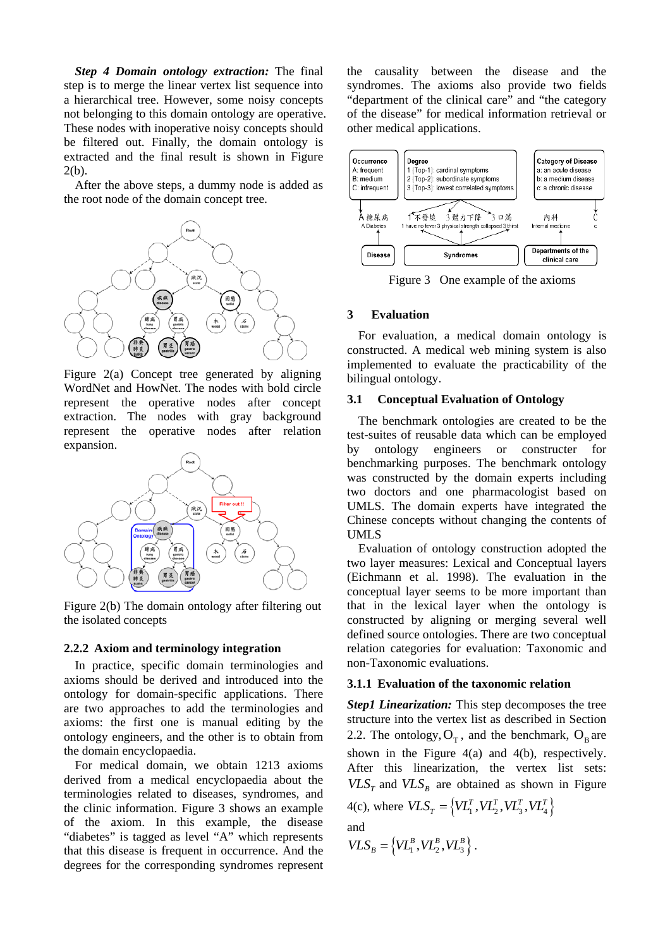*Step 4 Domain ontology extraction:* The final step is to merge the linear vertex list sequence into a hierarchical tree. However, some noisy concepts not belonging to this domain ontology are operative. These nodes with inoperative noisy concepts should be filtered out. Finally, the domain ontology is extracted and the final result is shown in Figure  $2(b)$ .

After the above steps, a dummy node is added as the root node of the domain concept tree.



Figure 2(a) Concept tree generated by aligning WordNet and HowNet. The nodes with bold circle represent the operative nodes after concept extraction. The nodes with gray background represent the operative nodes after relation expansion.



Figure 2(b) The domain ontology after filtering out the isolated concepts

#### **2.2.2 Axiom and terminology integration**

In practice, specific domain terminologies and axioms should be derived and introduced into the ontology for domain-specific applications. There are two approaches to add the terminologies and axioms: the first one is manual editing by the ontology engineers, and the other is to obtain from the domain encyclopaedia.

For medical domain, we obtain 1213 axioms derived from a medical encyclopaedia about the terminologies related to diseases, syndromes, and the clinic information. Figure 3 shows an example of the axiom. In this example, the disease "diabetes" is tagged as level "A" which represents that this disease is frequent in occurrence. And the degrees for the corresponding syndromes represent the causality between the disease and the syndromes. The axioms also provide two fields "department of the clinical care" and "the category of the disease" for medical information retrieval or other medical applications.



Figure 3 One example of the axioms

# **3 Evaluation**

For evaluation, a medical domain ontology is constructed. A medical web mining system is also implemented to evaluate the practicability of the bilingual ontology.

# **3.1 Conceptual Evaluation of Ontology**

The benchmark ontologies are created to be the test-suites of reusable data which can be employed by ontology engineers or constructer for benchmarking purposes. The benchmark ontology was constructed by the domain experts including two doctors and one pharmacologist based on UMLS. The domain experts have integrated the Chinese concepts without changing the contents of UMLS

Evaluation of ontology construction adopted the two layer measures: Lexical and Conceptual layers (Eichmann et al. 1998). The evaluation in the conceptual layer seems to be more important than that in the lexical layer when the ontology is constructed by aligning or merging several well defined source ontologies. There are two conceptual relation categories for evaluation: Taxonomic and non-Taxonomic evaluations.

# **3.1.1 Evaluation of the taxonomic relation**

*Step1 Linearization:* This step decomposes the tree structure into the vertex list as described in Section 2.2. The ontology,  $O_T$ , and the benchmark,  $O_B$  are shown in the Figure 4(a) and 4(b), respectively. After this linearization, the vertex list sets:  $VLS<sub>r</sub>$  and  $VLS<sub>B</sub>$  are obtained as shown in Figure 4(c), where  $VLS_T = \{VL_1^T, VL_2^T, VL_3^T, VL_4^T\}$ and  $VLS_{B} = \{VL_{1}^{B}, VL_{2}^{B}, VL_{3}^{B}\}.$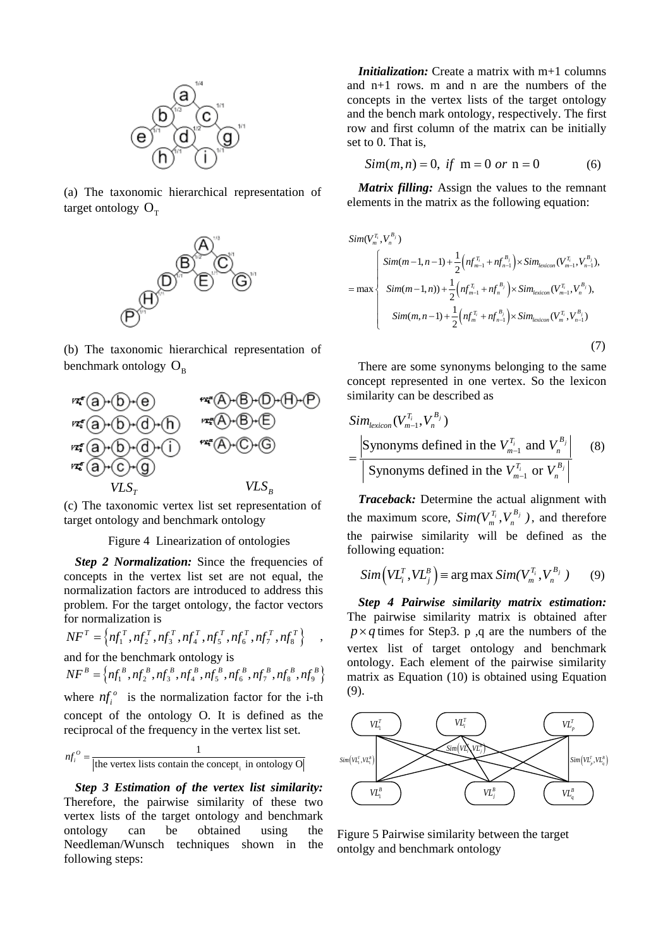

(a) The taxonomic hierarchical representation of target ontology  $O<sub>T</sub>$ 



(b) The taxonomic hierarchical representation of benchmark ontology  $O_{\rm B}$ 



(c) The taxonomic vertex list set representation of target ontology and benchmark ontology

### Figure 4 Linearization of ontologies

**Step 2 Normalization:** Since the frequencies of concepts in the vertex list set are not equal, the normalization factors are introduced to address this problem. For the target ontology, the factor vectors for normalization is

$$
NF^{T} = \left\{ nf_{1}^{T}, nf_{2}^{T}, nf_{3}^{T}, nf_{4}^{T}, nf_{5}^{T}, nf_{6}^{T}, nf_{7}^{T}, nf_{8}^{T} \right\} ,
$$

and for the benchmark ontology is

 $NF^B = \left\{ nf_1^B, nf_2^B, nf_3^B, nf_4^B, nf_5^B, nf_6^B, nf_7^B, nf_8^B, nf_9^B \right\}$ 

where  $nf_i^o$  is the normalization factor for the i-th concept of the ontology O. It is defined as the reciprocal of the frequency in the vertex list set.

1

$$
nf_i^o = \frac{1}{|\text{the vertex lists contain the concept}_i \text{ in ontology O}|}
$$

*Step 3 Estimation of the vertex list similarity:* Therefore, the pairwise similarity of these two vertex lists of the target ontology and benchmark ontology can be obtained using the Needleman/Wunsch techniques shown in the following steps:

*Initialization:* Create a matrix with m+1 columns and n+1 rows. m and n are the numbers of the concepts in the vertex lists of the target ontology and the bench mark ontology, respectively. The first row and first column of the matrix can be initially set to 0. That is,

$$
Sim(m, n) = 0, \text{ if } m = 0 \text{ or } n = 0 \tag{6}
$$

*Matrix filling:* Assign the values to the remnant elements in the matrix as the following equation:

$$
Sim(V_m^{T_i}, V_n^{B_j})
$$
\n
$$
= max \begin{cases}\nSim(m-1, n-1) + \frac{1}{2} \Big( n f_{m-1}^{T_i} + n f_{n-1}^{B_j} \Big) \times Sim_{lexicon}(V_{m-1}^{T_i}, V_{n-1}^{B_j}), \\
Sim(m-1, n)) + \frac{1}{2} \Big( n f_{m-1}^{T_i} + n f_n^{B_j} \Big) \times Sim_{lexicon}(V_{m-1}^{T_i}, V_n^{B_j}), \\
Sim(m, n-1) + \frac{1}{2} \Big( n f_m^{T_i} + n f_{n-1}^{B_j} \Big) \times Sim_{lexicon}(V_m^{T_i}, V_{n-1}^{B_j})\n\end{cases}
$$
\n(7)

There are some synonyms belonging to the same concept represented in one vertex. So the lexicon similarity can be described as

$$
\begin{aligned} \n\text{Sim}_{lexicon}(V_{m-1}^{T_i}, V_n^{B_j}) \\
&= \frac{\left| \text{Synonyms defined in the } V_{m-1}^{T_i} \text{ and } V_n^{B_j} \right|}{\left| \text{Synonyms defined in the } V_{m-1}^{T_i} \text{ or } V_n^{B_j} \right|} \n\end{aligned} \n\tag{8}
$$

*Traceback:* Determine the actual alignment with the maximum score,  $Sim(V_m^{\mathcal{T}_i}, V_n^{\mathcal{B}_j})$ , and therefore the pairwise similarity will be defined as the following equation:

$$
Sim\left( V L_i^T, V L_j^B \right) \equiv \arg \max Sim(V_m^{T_i}, V_n^{B_j}) \qquad (9)
$$

*Step 4 Pairwise similarity matrix estimation:*  The pairwise similarity matrix is obtained after  $p \times q$  times for Step3. p ,q are the numbers of the vertex list of target ontology and benchmark ontology. Each element of the pairwise similarity matrix as Equation (10) is obtained using Equation (9).



Figure 5 Pairwise similarity between the target ontolgy and benchmark ontology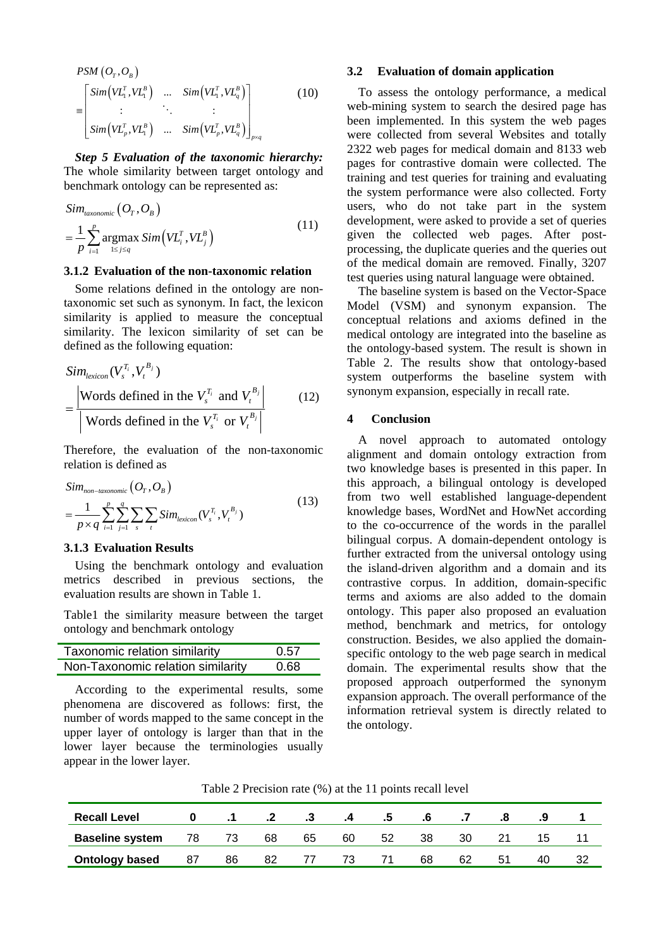$$
PSM (O_T, O_B)
$$
\n
$$
\begin{bmatrix}\n\sin(VL_1^T, VL_1^B) & \dots & \sin(VL_1^T, VL_q^B) \\
\vdots & \vdots & \ddots & \vdots \\
\sin(VL_p^T, VL_1^B) & \dots & \sin(VL_p^T, VL_q^B)\n\end{bmatrix}_{p \times q}
$$
\n(10)

*Step 5 Evaluation of the taxonomic hierarchy:* The whole similarity between target ontology and benchmark ontology can be represented as:

$$
Sim_{\text{taxonomic}}(O_T, O_B)
$$
\n
$$
= \frac{1}{p} \sum_{i=1}^{p} \underset{1 \le j \le q}{\operatorname{argmax}} Sim\left(VL_i^T, VL_j^B\right)
$$
\n
$$
(11)
$$

#### **3.1.2 Evaluation of the non-taxonomic relation**

Some relations defined in the ontology are nontaxonomic set such as synonym. In fact, the lexicon similarity is applied to measure the conceptual similarity. The lexicon similarity of set can be defined as the following equation:

$$
\begin{aligned} \n\text{Sim}_{\text{lexicon}}(V_s^{T_i}, V_t^{B_j}) \\
&= \frac{\left| \text{Words defined in the } V_s^{T_i} \text{ and } V_t^{B_j} \right|}{\left| \text{Words defined in the } V_s^{T_i} \text{ or } V_t^{B_j} \right|} \n\end{aligned} \tag{12}
$$

Therefore, the evaluation of the non-taxonomic relation is defined as

$$
Sim_{non-taxonomic} (O_T, O_B)
$$
  
= 
$$
\frac{1}{p \times q} \sum_{i=1}^p \sum_{j=1}^q \sum_s \sum_t Sim_{lexicon}(V_s^T, V_t^{B_j})
$$
(13)

## **3.1.3 Evaluation Results**

Using the benchmark ontology and evaluation metrics described in previous sections, the evaluation results are shown in Table 1.

Table1 the similarity measure between the target ontology and benchmark ontology

| Taxonomic relation similarity     | 0.57 |  |  |
|-----------------------------------|------|--|--|
| Non-Taxonomic relation similarity | 0.68 |  |  |

According to the experimental results, some phenomena are discovered as follows: first, the number of words mapped to the same concept in the upper layer of ontology is larger than that in the lower layer because the terminologies usually appear in the lower layer.

# **3.2 Evaluation of domain application**

To assess the ontology performance, a medical web-mining system to search the desired page has been implemented. In this system the web pages were collected from several Websites and totally 2322 web pages for medical domain and 8133 web pages for contrastive domain were collected. The training and test queries for training and evaluating the system performance were also collected. Forty users, who do not take part in the system development, were asked to provide a set of queries given the collected web pages. After postprocessing, the duplicate queries and the queries out of the medical domain are removed. Finally, 3207 test queries using natural language were obtained.

The baseline system is based on the Vector-Space Model (VSM) and synonym expansion. The conceptual relations and axioms defined in the medical ontology are integrated into the baseline as the ontology-based system. The result is shown in Table 2. The results show that ontology-based system outperforms the baseline system with synonym expansion, especially in recall rate.

# **4 Conclusion**

A novel approach to automated ontology alignment and domain ontology extraction from two knowledge bases is presented in this paper. In this approach, a bilingual ontology is developed from two well established language-dependent knowledge bases, WordNet and HowNet according to the co-occurrence of the words in the parallel bilingual corpus. A domain-dependent ontology is further extracted from the universal ontology using the island-driven algorithm and a domain and its contrastive corpus. In addition, domain-specific terms and axioms are also added to the domain ontology. This paper also proposed an evaluation method, benchmark and metrics, for ontology construction. Besides, we also applied the domainspecific ontology to the web page search in medical domain. The experimental results show that the proposed approach outperformed the synonym expansion approach. The overall performance of the information retrieval system is directly related to the ontology.

Table 2 Precision rate (%) at the 11 points recall level

| <b>Recall Level</b>    |    |    |    | .3 |    | .5 | .o |    |    |    |     |
|------------------------|----|----|----|----|----|----|----|----|----|----|-----|
| <b>Baseline system</b> | 78 |    | 68 | 65 | 60 | 52 | 38 | 30 |    | 15 |     |
| <b>Ontology based</b>  | 87 | 86 | 82 |    | 73 |    | 68 | 62 | 51 | 40 | ے ت |